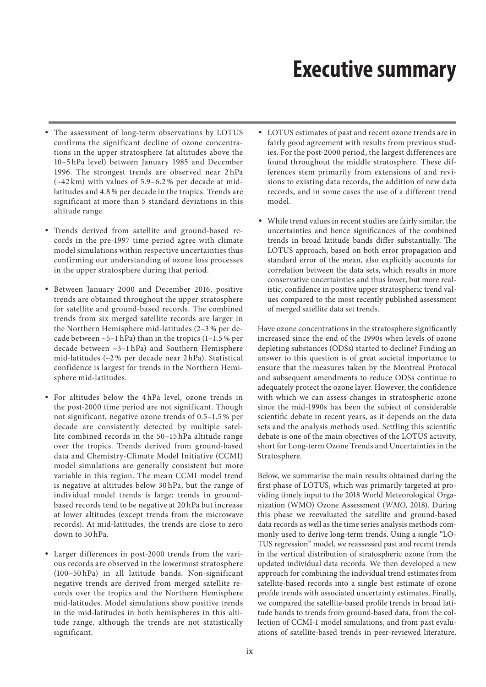# **Executive summary**

- The assessment of long-term observations by LOTUS confirms the significant decline of ozone concentrations in the upper stratosphere (at altitudes above the 10–5 hPa level) between January 1985 and December 1996. The strongest trends are observed near 2 hPa  $(-42 \text{ km})$  with values of 5.9–6.2% per decade at midlatitudes and 4.8 % per decade in the tropics. Trends are significant at more than 5 standard deviations in this altitude range.
- Trends derived from satellite and ground-based records in the pre-1997 time period agree with climate model simulations within respective uncertainties thus confirming our understanding of ozone loss processes in the upper stratosphere during that period.
- Between January 2000 and December 2016, positive trends are obtained throughout the upper stratosphere for satellite and ground-based records. The combined trends from six merged satellite records are larger in the Northern Hemisphere mid-latitudes (2–3 % per decade between  $\sim$ 5–1 hPa) than in the tropics (1–1.5 % per decade between ~3–1 hPa) and Southern Hemisphere mid-latitudes (~2 % per decade near 2 hPa). Statistical confidence is largest for trends in the Northern Hemisphere mid-latitudes.
- For altitudes below the 4 hPa level, ozone trends in the post-2000 time period are not significant. Though not significant, negative ozone trends of 0.5–1.5 % per decade are consistently detected by multiple satellite combined records in the 50–15 hPa altitude range over the tropics. Trends derived from ground-based data and Chemistry-Climate Model Initiative (CCMI) model simulations are generally consistent but more variable in this region. The mean CCMI model trend is negative at altitudes below 30 hPa, but the range of individual model trends is large; trends in groundbased records tend to be negative at 20 hPa but increase at lower altitudes (except trends from the microwave records). At mid-latitudes, the trends are close to zero down to 50 hPa.
- Larger differences in post-2000 trends from the various records are observed in the lowermost stratosphere (100–50 hPa) in all latitude bands. Non-significant negative trends are derived from merged satellite records over the tropics and the Northern Hemisphere mid-latitudes. Model simulations show positive trends in the mid-latitudes in both hemispheres in this altitude range, although the trends are not statistically significant.
- LOTUS estimates of past and recent ozone trends are in fairly good agreement with results from previous studies. For the post-2000 period, the largest differences are found throughout the middle stratosphere. These differences stem primarily from extensions of and revisions to existing data records, the addition of new data records, and in some cases the use of a different trend model.
- While trend values in recent studies are fairly similar, the uncertainties and hence significances of the combined trends in broad latitude bands differ substantially. The LOTUS approach, based on both error propagation and standard error of the mean, also explicitly accounts for correlation between the data sets, which results in more conservative uncertainties and thus lower, but more realistic, confidence in positive upper stratospheric trend values compared to the most recently published assessment of merged satellite data set trends.

Have ozone concentrations in the stratosphere significantly increased since the end of the 1990s when levels of ozone depleting substances (ODSs) started to decline? Finding an answer to this question is of great societal importance to ensure that the measures taken by the Montreal Protocol and subsequent amendments to reduce ODSs continue to adequately protect the ozone layer. However, the confidence with which we can assess changes in stratospheric ozone since the mid-1990s has been the subject of considerable scientific debate in recent years, as it depends on the data sets and the analysis methods used. Settling this scientific debate is one of the main objectives of the LOTUS activity, short for Long-term Ozone Trends and Uncertainties in the Stratosphere.

Below, we summarise the main results obtained during the first phase of LOTUS, which was primarily targeted at providing timely input to the 2018 World Meteorological Organization (WMO) Ozone Assessment (*WMO*, 2018). During this phase we reevaluated the satellite and ground-based data records as well as the time series analysis methods commonly used to derive long-term trends. Using a single "LO-TUS regression" model, we reassessed past and recent trends in the vertical distribution of stratospheric ozone from the updated individual data records. We then developed a new approach for combining the individual trend estimates from satellite-based records into a single best estimate of ozone profile trends with associated uncertainty estimates. Finally, we compared the satellite-based profile trends in broad latitude bands to trends from ground-based data, from the collection of CCMI-1 model simulations, and from past evaluations of satellite-based trends in peer-reviewed literature.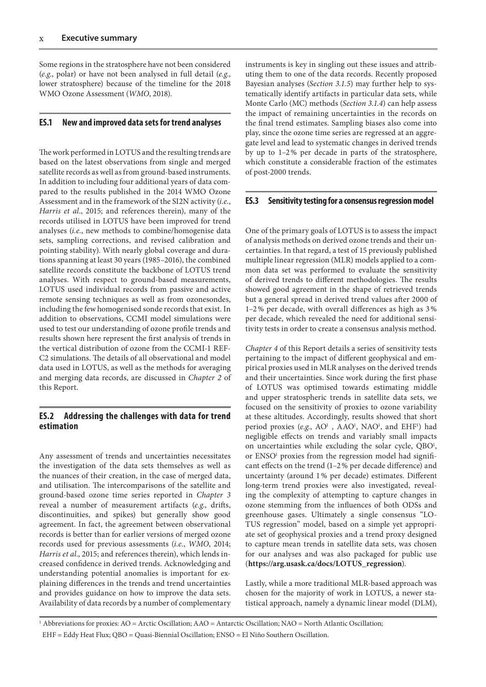Some regions in the stratosphere have not been considered (*e.g.*, polar) or have not been analysed in full detail (*e.g.*, lower stratosphere) because of the timeline for the 2018 WMO Ozone Assessment (*WMO*, 2018).

# **ES.1 New and improved data sets for trend analyses**

The work performed in LOTUS and the resulting trends are based on the latest observations from single and merged satellite records as well as from ground-based instruments. In addition to including four additional years of data compared to the results published in the 2014 WMO Ozone Assessment and in the framework of the SI2N activity (*i.e.*, *Harris et al*., 2015; and references therein), many of the records utilised in LOTUS have been improved for trend analyses (*i.e.*, new methods to combine/homogenise data sets, sampling corrections, and revised calibration and pointing stability). With nearly global coverage and durations spanning at least 30 years (1985–2016), the combined satellite records constitute the backbone of LOTUS trend analyses. With respect to ground-based measurements, LOTUS used individual records from passive and active remote sensing techniques as well as from ozonesondes, including the few homogenised sonde records that exist. In addition to observations, CCMI model simulations were used to test our understanding of ozone profile trends and results shown here represent the first analysis of trends in the vertical distribution of ozone from the CCMI-1 REF-C2 simulations. The details of all observational and model data used in LOTUS, as well as the methods for averaging and merging data records, are discussed in *Chapter 2* of this Report.

# **ES.2 Addressing the challenges with data for trend estimation**

Any assessment of trends and uncertainties necessitates the investigation of the data sets themselves as well as the nuances of their creation, in the case of merged data, and utilisation. The intercomparisons of the satellite and ground-based ozone time series reported in *Chapter 3* reveal a number of measurement artifacts (*e.g.*, drifts, discontinuities, and spikes) but generally show good agreement. In fact, the agreement between observational records is better than for earlier versions of merged ozone records used for previous assessments (*i.e.*, *WMO*, 2014; *Harris et al*., 2015; and references therein), which lends increased confidence in derived trends. Acknowledging and understanding potential anomalies is important for explaining differences in the trends and trend uncertainties and provides guidance on how to improve the data sets. Availability of data records by a number of complementary

instruments is key in singling out these issues and attributing them to one of the data records. Recently proposed Bayesian analyses (*Section 3.1.5*) may further help to systematically identify artifacts in particular data sets, while Monte Carlo (MC) methods (*Section 3.1.4*) can help assess the impact of remaining uncertainties in the records on the final trend estimates. Sampling biases also come into play, since the ozone time series are regressed at an aggregate level and lead to systematic changes in derived trends by up to 1–2% per decade in parts of the stratosphere, which constitute a considerable fraction of the estimates of post-2000 trends.

## **ES.3 Sensitivity testing for a consensus regression model**

One of the primary goals of LOTUS is to assess the impact of analysis methods on derived ozone trends and their uncertainties. In that regard, a test of 15 previously published multiple linear regression (MLR) models applied to a common data set was performed to evaluate the sensitivity of derived trends to different methodologies. The results showed good agreement in the shape of retrieved trends but a general spread in derived trend values after 2000 of 1–2% per decade, with overall differences as high as 3% per decade, which revealed the need for additional sensitivity tests in order to create a consensus analysis method.

*Chapter 4* of this Report details a series of sensitivity tests pertaining to the impact of different geophysical and empirical proxies used in MLR analyses on the derived trends and their uncertainties. Since work during the first phase of LOTUS was optimised towards estimating middle and upper stratospheric trends in satellite data sets, we focused on the sensitivity of proxies to ozone variability at these altitudes. Accordingly, results showed that short period proxies (e.g., AO<sup>1</sup>, AAO<sup>1</sup>, NAO<sup>1</sup>, and EHF<sup>1</sup>) had negligible effects on trends and variably small impacts on uncertainties while excluding the solar cycle, QBO<sup>1</sup>, or ENSO<sup>1</sup> proxies from the regression model had significant effects on the trend (1–2% per decade difference) and uncertainty (around 1% per decade) estimates. Different long-term trend proxies were also investigated, revealing the complexity of attempting to capture changes in ozone stemming from the influences of both ODSs and greenhouse gases. Ultimately a single consensus "LO-TUS regression" model, based on a simple yet appropriate set of geophysical proxies and a trend proxy designed to capture mean trends in satellite data sets, was chosen for our analyses and was also packaged for public use (**https://arg.usask.ca/docs/LOTUS\_regression**).

Lastly, while a more traditional MLR-based approach was chosen for the majority of work in LOTUS, a newer statistical approach, namely a dynamic linear model (DLM),

1 Abbreviations for proxies: AO = Arctic Oscillation; AAO = Antarctic Oscillation; NAO = North Atlantic Oscillation; EHF = Eddy Heat Flux; QBO = Quasi-Biennial Oscillation; ENSO = El Niño Southern Oscillation.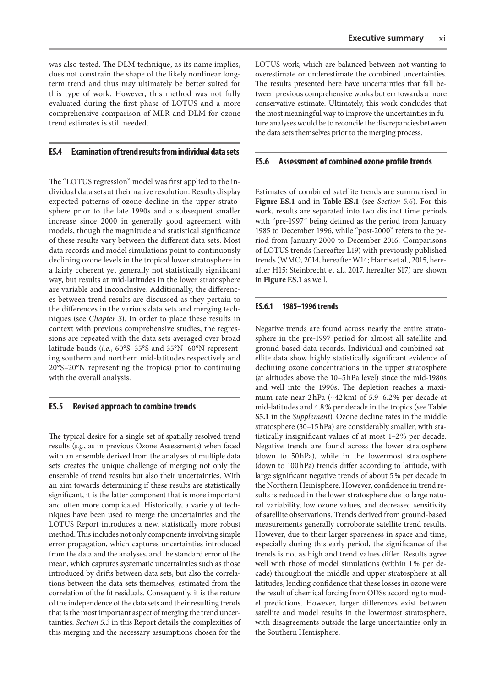was also tested. The DLM technique, as its name implies, does not constrain the shape of the likely nonlinear longterm trend and thus may ultimately be better suited for this type of work. However, this method was not fully evaluated during the first phase of LOTUS and a more comprehensive comparison of MLR and DLM for ozone trend estimates is still needed.

# **ES.4 Examination of trend results from individual data sets**

The "LOTUS regression" model was first applied to the individual data sets at their native resolution. Results display expected patterns of ozone decline in the upper stratosphere prior to the late 1990s and a subsequent smaller increase since 2000 in generally good agreement with models, though the magnitude and statistical significance of these results vary between the different data sets. Most data records and model simulations point to continuously declining ozone levels in the tropical lower stratosphere in a fairly coherent yet generally not statistically significant way, but results at mid-latitudes in the lower stratosphere are variable and inconclusive. Additionally, the differences between trend results are discussed as they pertain to the differences in the various data sets and merging techniques (see *Chapter 3*). In order to place these results in context with previous comprehensive studies, the regressions are repeated with the data sets averaged over broad latitude bands (*i.e.*, 60°S–35°S and 35°N–60°N representing southern and northern mid-latitudes respectively and 20°S–20°N representing the tropics) prior to continuing with the overall analysis.

## **ES.5 Revised approach to combine trends**

The typical desire for a single set of spatially resolved trend results (*e.g.*, as in previous Ozone Assessments) when faced with an ensemble derived from the analyses of multiple data sets creates the unique challenge of merging not only the ensemble of trend results but also their uncertainties. With an aim towards determining if these results are statistically significant, it is the latter component that is more important and often more complicated. Historically, a variety of techniques have been used to merge the uncertainties and the LOTUS Report introduces a new, statistically more robust method. This includes not only components involving simple error propagation, which captures uncertainties introduced from the data and the analyses, and the standard error of the mean, which captures systematic uncertainties such as those introduced by drifts between data sets, but also the correlations between the data sets themselves, estimated from the correlation of the fit residuals. Consequently, it is the nature of the independence of the data sets and their resulting trends that is the most important aspect of merging the trend uncertainties. *Section 5.3* in this Report details the complexities of this merging and the necessary assumptions chosen for the

LOTUS work, which are balanced between not wanting to overestimate or underestimate the combined uncertainties. The results presented here have uncertainties that fall between previous comprehensive works but err towards a more conservative estimate. Ultimately, this work concludes that the most meaningful way to improve the uncertainties in future analyses would be to reconcile the discrepancies between the data sets themselves prior to the merging process.

#### **ES.6 Assessment of combined ozone profile trends**

Estimates of combined satellite trends are summarised in **Figure ES.1** and in **Table ES.1** (see *Section 5.6*). For this work, results are separated into two distinct time periods with "pre-1997" being defined as the period from January 1985 to December 1996, while "post-2000" refers to the period from January 2000 to December 2016. Comparisons of LOTUS trends (hereafter L19) with previously published trends (WMO, 2014, hereafter W14; Harris et al., 2015, hereafter H15; Steinbrecht et al., 2017, hereafter S17) are shown in **Figure ES.1** as well.

#### **ES.6.1 1985–1996 trends**

Negative trends are found across nearly the entire stratosphere in the pre-1997 period for almost all satellite and ground-based data records. Individual and combined satellite data show highly statistically significant evidence of declining ozone concentrations in the upper stratosphere (at altitudes above the 10–5hPa level) since the mid-1980s and well into the 1990s. The depletion reaches a maximum rate near 2hPa (~42km) of 5.9–6.2% per decade at mid-latitudes and 4.8% per decade in the tropics (see **Table S5.1** in the *Supplement*). Ozone decline rates in the middle stratosphere (30–15hPa) are considerably smaller, with statistically insignificant values of at most 1–2% per decade. Negative trends are found across the lower stratosphere (down to 50hPa), while in the lowermost stratosphere (down to 100hPa) trends differ according to latitude, with large significant negative trends of about 5% per decade in the Northern Hemisphere. However, confidence in trend results is reduced in the lower stratosphere due to large natural variability, low ozone values, and decreased sensitivity of satellite observations. Trends derived from ground-based measurements generally corroborate satellite trend results. However, due to their larger sparseness in space and time, especially during this early period, the significance of the trends is not as high and trend values differ. Results agree well with those of model simulations (within 1% per decade) throughout the middle and upper stratosphere at all latitudes, lending confidence that these losses in ozone were the result of chemical forcing from ODSs according to model predictions. However, larger differences exist between satellite and model results in the lowermost stratosphere, with disagreements outside the large uncertainties only in the Southern Hemisphere.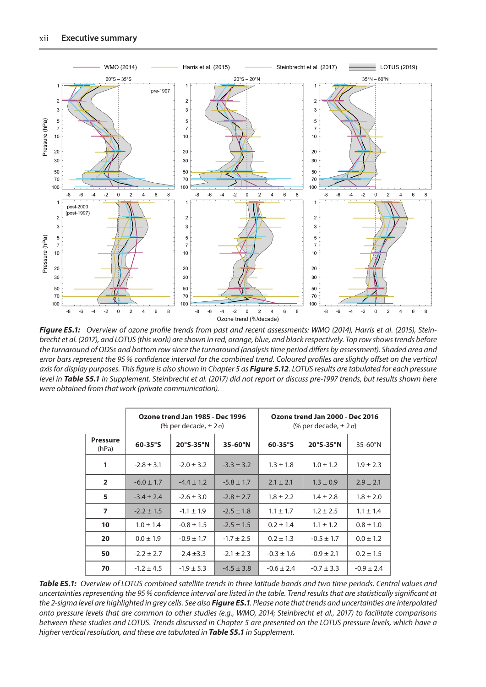

*Figure ES.1: Overview of ozone profile trends from past and recent assessments: WMO (2014), Harris et al. (2015), Steinbrecht et al. (2017), and LOTUS (this work) are shown in red, orange, blue, and black respectively. Top row shows trends before the turnaround of ODSs and bottom row since the turnaround (analysis time period differs by assessment). Shaded area and error bars represent the 95% confidence interval for the combined trend. Coloured profiles are slightly offset on the vertical axis for display purposes. This figure is also shown in Chapter 5 as Figure 5.12. LOTUS results are tabulated for each pressure level in Table S5.1 in Supplement. Steinbrecht et al. (2017) did not report or discuss pre-1997 trends, but results shown here were obtained from that work (private communication).*

|                          | Ozone trend Jan 1985 - Dec 1996<br>$%$ per decade, $±$ 2 σ) |                     |                 | Ozone trend Jan 2000 - Dec 2016<br>(% per decade, $\pm$ 2σ) |                |                 |
|--------------------------|-------------------------------------------------------------|---------------------|-----------------|-------------------------------------------------------------|----------------|-----------------|
| <b>Pressure</b><br>(hPa) | $60-35^\circ$ S                                             | $20^{\circ}$ S-35°N | $35-60^\circ N$ | $60-35^{\circ}$ S                                           | 20°S-35°N      | $35-60^\circ$ N |
| 1                        | $-2.8 \pm 3.1$                                              | $-2.0 \pm 3.2$      | $-3.3 \pm 3.2$  | $1.3 \pm 1.8$                                               | $1.0 \pm 1.2$  | $1.9 \pm 2.3$   |
| $\overline{2}$           | $-6.0 \pm 1.7$                                              | $-4.4 \pm 1.2$      | $-5.8 \pm 1.7$  | $2.1 \pm 2.1$                                               | $1.3 \pm 0.9$  | $2.9 \pm 2.1$   |
| 5                        | $-3.4 \pm 2.4$                                              | $-2.6 \pm 3.0$      | $-2.8 \pm 2.7$  | $1.8 \pm 2.2$                                               | $1.4 \pm 2.8$  | $1.8 \pm 2.0$   |
| $\overline{\phantom{a}}$ | $-2.2 \pm 1.5$                                              | $-1.1 \pm 1.9$      | $-2.5 \pm 1.8$  | $1.1 \pm 1.7$                                               | $1.2 \pm 2.5$  | $1.1 \pm 1.4$   |
| 10                       | $1.0 \pm 1.4$                                               | $-0.8 \pm 1.5$      | $-2.5 \pm 1.5$  | $0.2 \pm 1.4$                                               | $1.1 \pm 1.2$  | $0.8 \pm 1.0$   |
| 20                       | $0.0 \pm 1.9$                                               | $-0.9 \pm 1.7$      | $-1.7 \pm 2.5$  | $0.2 \pm 1.3$                                               | $-0.5 \pm 1.7$ | $0.0 \pm 1.2$   |
| 50                       | $-2.2 \pm 2.7$                                              | $-2.4 \pm 3.3$      | $-2.1 \pm 2.3$  | $-0.3 \pm 1.6$                                              | $-0.9 \pm 2.1$ | $0.2 \pm 1.5$   |
| 70                       | $-1.2 \pm 4.5$                                              | $-1.9 \pm 5.3$      | $-4.5 \pm 3.8$  | $-0.6 \pm 2.4$                                              | $-0.7 \pm 3.3$ | $-0.9 \pm 2.4$  |

*Table ES.1: Overview of LOTUS combined satellite trends in three latitude bands and two time periods. Central values and uncertainties representing the 95% confidence interval are listed in the table. Trend results that are statistically significant at the 2-sigma level are highlighted in grey cells. See also Figure ES.1. Please note that trends and uncertainties are interpolated onto pressure levels that are common to other studies (e.g., WMO, 2014; Steinbrecht et al., 2017) to facilitate comparisons between these studies and LOTUS. Trends discussed in Chapter 5 are presented on the LOTUS pressure levels, which have a higher vertical resolution, and these are tabulated in Table S5.1 in Supplement.*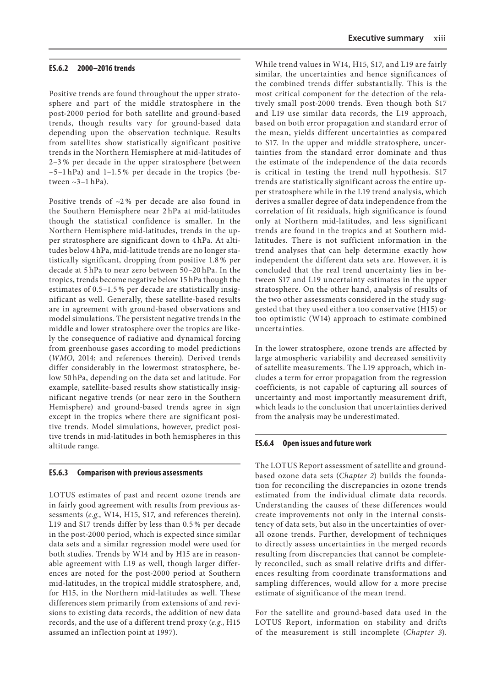#### **ES.6.2 2000–2016 trends**

Positive trends are found throughout the upper stratosphere and part of the middle stratosphere in the post-2000 period for both satellite and ground-based trends, though results vary for ground-based data depending upon the observation technique. Results from satellites show statistically significant positive trends in the Northern Hemisphere at mid-latitudes of 2–3 % per decade in the upper stratosphere (between  $\sim$ 5–1 hPa) and 1–1.5% per decade in the tropics (between  $\sim$ 3-1 hPa).

Positive trends of  $\sim$ 2% per decade are also found in the Southern Hemisphere near 2 hPa at mid-latitudes though the statistical confidence is smaller. In the Northern Hemisphere mid-latitudes, trends in the upper stratosphere are significant down to 4 hPa. At altitudes below 4 hPa, mid-latitude trends are no longer statistically significant, dropping from positive 1.8 % per decade at 5 hPa to near zero between 50–20 hPa. In the tropics, trends become negative below 15 hPa though the estimates of 0.5–1.5 % per decade are statistically insignificant as well. Generally, these satellite-based results are in agreement with ground-based observations and model simulations. The persistent negative trends in the middle and lower stratosphere over the tropics are likely the consequence of radiative and dynamical forcing from greenhouse gases according to model predictions (*WMO*, 2014; and references therein). Derived trends differ considerably in the lowermost stratosphere, below 50 hPa, depending on the data set and latitude. For example, satellite-based results show statistically insignificant negative trends (or near zero in the Southern Hemisphere) and ground-based trends agree in sign except in the tropics where there are significant positive trends. Model simulations, however, predict positive trends in mid-latitudes in both hemispheres in this altitude range.

#### **ES.6.3 Comparison with previous assessments**

LOTUS estimates of past and recent ozone trends are in fairly good agreement with results from previous assessments (*e.g.*, W14, H15, S17, and references therein). L19 and S17 trends differ by less than 0.5 % per decade in the post-2000 period, which is expected since similar data sets and a similar regression model were used for both studies. Trends by W14 and by H15 are in reasonable agreement with L19 as well, though larger differences are noted for the post-2000 period at Southern mid-latitudes, in the tropical middle stratosphere, and, for H15, in the Northern mid-latitudes as well. These differences stem primarily from extensions of and revisions to existing data records, the addition of new data records, and the use of a different trend proxy (*e.g.*, H15 assumed an inflection point at 1997).

While trend values in W14, H15, S17, and L19 are fairly similar, the uncertainties and hence significances of the combined trends differ substantially. This is the most critical component for the detection of the relatively small post-2000 trends. Even though both S17 and L19 use similar data records, the L19 approach, based on both error propagation and standard error of the mean, yields different uncertainties as compared to S17. In the upper and middle stratosphere, uncertainties from the standard error dominate and thus the estimate of the independence of the data records is critical in testing the trend null hypothesis. S17 trends are statistically significant across the entire upper stratosphere while in the L19 trend analysis, which derives a smaller degree of data independence from the correlation of fit residuals, high significance is found only at Northern mid-latitudes, and less significant trends are found in the tropics and at Southern midlatitudes. There is not sufficient information in the trend analyses that can help determine exactly how independent the different data sets are. However, it is concluded that the real trend uncertainty lies in between S17 and L19 uncertainty estimates in the upper stratosphere. On the other hand, analysis of results of the two other assessments considered in the study suggested that they used either a too conservative (H15) or too optimistic (W14) approach to estimate combined uncertainties.

In the lower stratosphere, ozone trends are affected by large atmospheric variability and decreased sensitivity of satellite measurements. The L19 approach, which includes a term for error propagation from the regression coefficients, is not capable of capturing all sources of uncertainty and most importantly measurement drift, which leads to the conclusion that uncertainties derived from the analysis may be underestimated.

#### **ES.6.4 Open issues and future work**

The LOTUS Report assessment of satellite and groundbased ozone data sets (*Chapter 2*) builds the foundation for reconciling the discrepancies in ozone trends estimated from the individual climate data records. Understanding the causes of these differences would create improvements not only in the internal consistency of data sets, but also in the uncertainties of overall ozone trends. Further, development of techniques to directly assess uncertainties in the merged records resulting from discrepancies that cannot be completely reconciled, such as small relative drifts and differences resulting from coordinate transformations and sampling differences, would allow for a more precise estimate of significance of the mean trend.

For the satellite and ground-based data used in the LOTUS Report, information on stability and drifts of the measurement is still incomplete (*Chapter 3*).